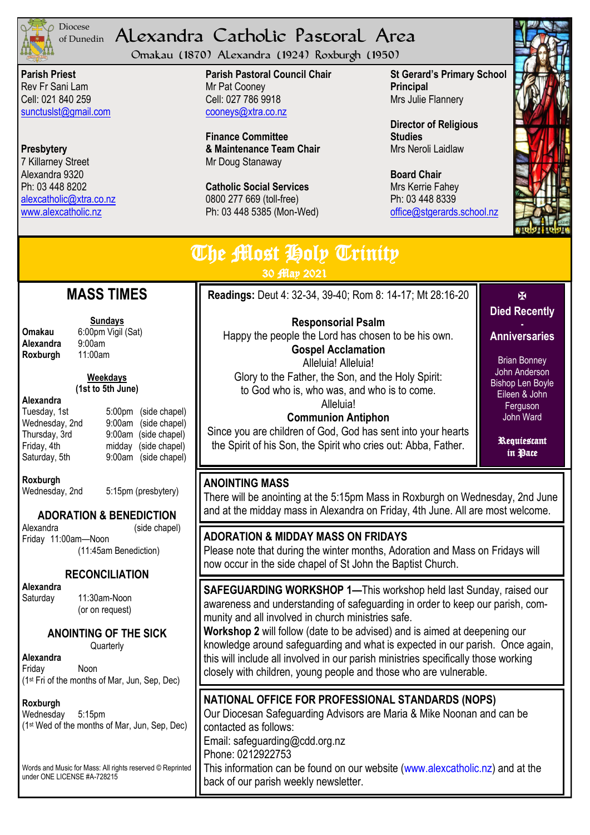

## <sup>Diocese</sup> Alexandra Catholic Pastoral Area of Dunedin

Omakau (1870) Alexandra (1924) Roxburgh (1950)

**Parish Priest** Rev Fr Sani Lam Cell: 021 840 259 [sunctuslst@gmail.com](mailto:mailto:sunctuslst@gmail.com)

**Presbytery** 7 Killarney Street Alexandra 9320 Ph: 03 448 8202 [alexcatholic@xtra.co.nz](mailto:mailto:alexcatholic@xtra.co.nz) www.alexcatholic.nz

**Parish Pastoral Council Chair** Mr Pat Cooney Cell: 027 786 9918 cooneys@xtra.co.nz

**Finance Committee & Maintenance Team Chair** Mr Doug Stanaway

**Catholic Social Services**  0800 277 669 (toll-free) Ph: 03 448 5385 (Mon-Wed) **St Gerard's Primary School Principal** Mrs Julie Flannery

**Director of Religious Studies** Mrs Neroli Laidlaw

**Board Chair** Mrs Kerrie Fahey Ph: 03 448 8339 [office@stgerards.school.nz](mailto:mailto:office@stgerards.school.nz)



| <b>The Most Holp Trinity</b><br>30 <i>fflav</i> 2021                                                                                                                                                                                                                                                                                                                                        |                                                                                                                                                                                                                                                                                                                                                                                                                                                                                                                                           |                                                                                                                                                                                          |  |
|---------------------------------------------------------------------------------------------------------------------------------------------------------------------------------------------------------------------------------------------------------------------------------------------------------------------------------------------------------------------------------------------|-------------------------------------------------------------------------------------------------------------------------------------------------------------------------------------------------------------------------------------------------------------------------------------------------------------------------------------------------------------------------------------------------------------------------------------------------------------------------------------------------------------------------------------------|------------------------------------------------------------------------------------------------------------------------------------------------------------------------------------------|--|
| <b>MASS TIMES</b><br><b>Sundays</b><br>6:00pm Vigil (Sat)<br><b>Omakau</b><br>Alexandra<br>9:00am<br>Roxburgh<br>11:00am<br><b>Weekdays</b><br>(1st to 5th June)<br>Alexandra<br>Tuesday, 1st<br>5:00pm (side chapel)<br>9:00am<br>Wednesday, 2nd<br>(side chapel)<br>9:00am (side chapel)<br>Thursday, 3rd<br>Friday, 4th<br>midday (side chapel)<br>9:00am (side chapel)<br>Saturday, 5th | Readings: Deut 4: 32-34, 39-40; Rom 8: 14-17; Mt 28:16-20<br><b>Responsorial Psalm</b><br>Happy the people the Lord has chosen to be his own.<br><b>Gospel Acclamation</b><br>Alleluia! Alleluia!<br>Glory to the Father, the Son, and the Holy Spirit:<br>to God who is, who was, and who is to come.<br>Alleluia!<br><b>Communion Antiphon</b><br>Since you are children of God, God has sent into your hearts<br>the Spirit of his Son, the Spirit who cries out: Abba, Father.                                                        | 图<br><b>Died Recently</b><br><b>Anniversaries</b><br><b>Brian Bonney</b><br>John Anderson<br><b>Bishop Len Boyle</b><br>Eileen & John<br>Ferguson<br>John Ward<br>Requiestant<br>in Pace |  |
| Roxburgh<br>5:15pm (presbytery)<br>Wednesday, 2nd<br><b>ADORATION &amp; BENEDICTION</b>                                                                                                                                                                                                                                                                                                     | <b>ANOINTING MASS</b><br>There will be anointing at the 5:15pm Mass in Roxburgh on Wednesday, 2nd June<br>and at the midday mass in Alexandra on Friday, 4th June. All are most welcome.                                                                                                                                                                                                                                                                                                                                                  |                                                                                                                                                                                          |  |
| Alexandra<br>(side chapel)<br>Friday 11:00am-Noon<br>(11:45am Benediction)<br><b>RECONCILIATION</b>                                                                                                                                                                                                                                                                                         | <b>ADORATION &amp; MIDDAY MASS ON FRIDAYS</b><br>Please note that during the winter months, Adoration and Mass on Fridays will<br>now occur in the side chapel of St John the Baptist Church.                                                                                                                                                                                                                                                                                                                                             |                                                                                                                                                                                          |  |
| Alexandra<br>11:30am-Noon<br>Saturday<br>(or on request)<br>ANOINTING OF THE SICK<br>Quarterly<br>Alexandra<br>Noon<br>Friday<br>(1st Fri of the months of Mar, Jun, Sep, Dec)                                                                                                                                                                                                              | <b>SAFEGUARDING WORKSHOP 1-This workshop held last Sunday, raised our</b><br>awareness and understanding of safeguarding in order to keep our parish, com-<br>munity and all involved in church ministries safe.<br>Workshop 2 will follow (date to be advised) and is aimed at deepening our<br>knowledge around safeguarding and what is expected in our parish. Once again,<br>this will include all involved in our parish ministries specifically those working<br>closely with children, young people and those who are vulnerable. |                                                                                                                                                                                          |  |
| Roxburgh<br>Wednesday<br>$5:15$ pm<br>(1st Wed of the months of Mar, Jun, Sep, Dec)<br>Words and Music for Mass: All rights reserved © Reprinted<br>under ONE LICENSE #A-728215                                                                                                                                                                                                             | NATIONAL OFFICE FOR PROFESSIONAL STANDARDS (NOPS)<br>Our Diocesan Safeguarding Advisors are Maria & Mike Noonan and can be<br>contacted as follows:<br>Email: safeguarding@cdd.org.nz<br>Phone: 0212922753<br>This information can be found on our website (www.alexcatholic.nz) and at the<br>back of our parish weekly newsletter.                                                                                                                                                                                                      |                                                                                                                                                                                          |  |